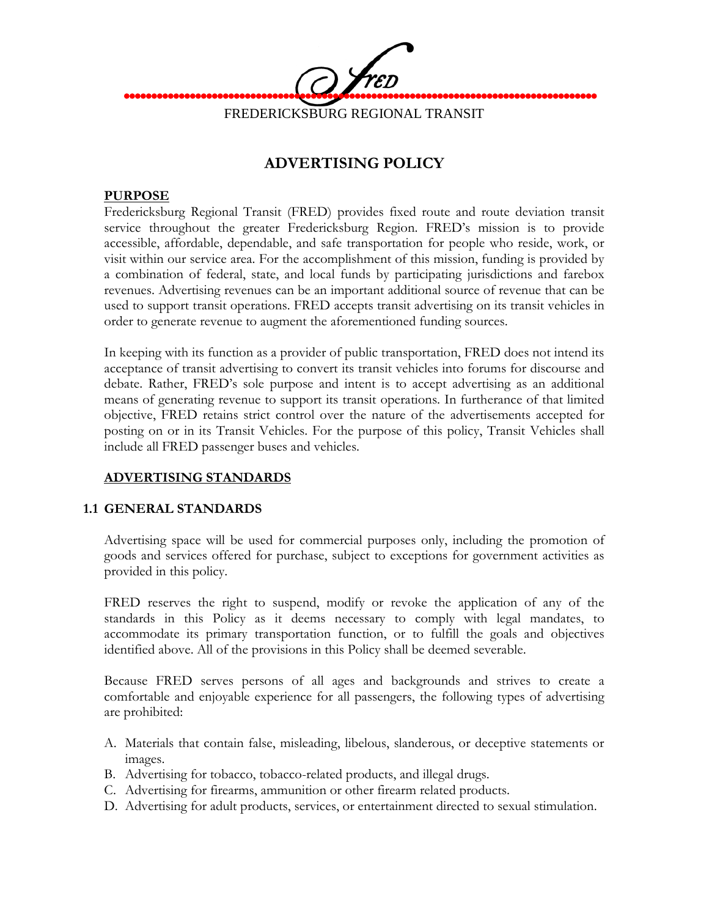

# **ADVERTISING POLICY**

#### **PURPOSE**

Fredericksburg Regional Transit (FRED) provides fixed route and route deviation transit service throughout the greater Fredericksburg Region. FRED's mission is to provide accessible, affordable, dependable, and safe transportation for people who reside, work, or visit within our service area. For the accomplishment of this mission, funding is provided by a combination of federal, state, and local funds by participating jurisdictions and farebox revenues. Advertising revenues can be an important additional source of revenue that can be used to support transit operations. FRED accepts transit advertising on its transit vehicles in order to generate revenue to augment the aforementioned funding sources.

In keeping with its function as a provider of public transportation, FRED does not intend its acceptance of transit advertising to convert its transit vehicles into forums for discourse and debate. Rather, FRED's sole purpose and intent is to accept advertising as an additional means of generating revenue to support its transit operations. In furtherance of that limited objective, FRED retains strict control over the nature of the advertisements accepted for posting on or in its Transit Vehicles. For the purpose of this policy, Transit Vehicles shall include all FRED passenger buses and vehicles.

#### **ADVERTISING STANDARDS**

#### **1.1 GENERAL STANDARDS**

Advertising space will be used for commercial purposes only, including the promotion of goods and services offered for purchase, subject to exceptions for government activities as provided in this policy.

FRED reserves the right to suspend, modify or revoke the application of any of the standards in this Policy as it deems necessary to comply with legal mandates, to accommodate its primary transportation function, or to fulfill the goals and objectives identified above. All of the provisions in this Policy shall be deemed severable.

Because FRED serves persons of all ages and backgrounds and strives to create a comfortable and enjoyable experience for all passengers, the following types of advertising are prohibited:

- A. Materials that contain false, misleading, libelous, slanderous, or deceptive statements or images.
- B. Advertising for tobacco, tobacco-related products, and illegal drugs.
- C. Advertising for firearms, ammunition or other firearm related products.
- D. Advertising for adult products, services, or entertainment directed to sexual stimulation.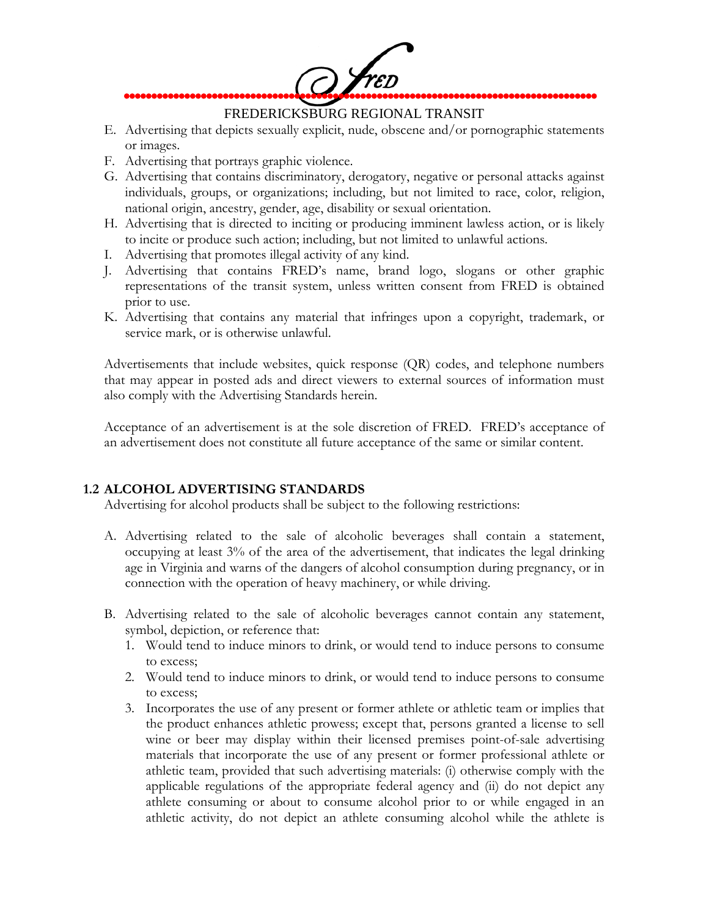

### FREDERICKSBURG REGIONAL TRANSIT

- E. Advertising that depicts sexually explicit, nude, obscene and/or pornographic statements or images.
- F. Advertising that portrays graphic violence.
- G. Advertising that contains discriminatory, derogatory, negative or personal attacks against individuals, groups, or organizations; including, but not limited to race, color, religion, national origin, ancestry, gender, age, disability or sexual orientation.
- H. Advertising that is directed to inciting or producing imminent lawless action, or is likely to incite or produce such action; including, but not limited to unlawful actions.
- I. Advertising that promotes illegal activity of any kind.
- J. Advertising that contains FRED's name, brand logo, slogans or other graphic representations of the transit system, unless written consent from FRED is obtained prior to use.
- K. Advertising that contains any material that infringes upon a copyright, trademark, or service mark, or is otherwise unlawful.

Advertisements that include websites, quick response (QR) codes, and telephone numbers that may appear in posted ads and direct viewers to external sources of information must also comply with the Advertising Standards herein.

Acceptance of an advertisement is at the sole discretion of FRED. FRED's acceptance of an advertisement does not constitute all future acceptance of the same or similar content.

#### **1.2 ALCOHOL ADVERTISING STANDARDS**

Advertising for alcohol products shall be subject to the following restrictions:

- A. Advertising related to the sale of alcoholic beverages shall contain a statement, occupying at least 3% of the area of the advertisement, that indicates the legal drinking age in Virginia and warns of the dangers of alcohol consumption during pregnancy, or in connection with the operation of heavy machinery, or while driving.
- B. Advertising related to the sale of alcoholic beverages cannot contain any statement, symbol, depiction, or reference that:
	- 1. Would tend to induce minors to drink, or would tend to induce persons to consume to excess;
	- 2. Would tend to induce minors to drink, or would tend to induce persons to consume to excess;
	- 3. Incorporates the use of any present or former athlete or athletic team or implies that the product enhances athletic prowess; except that, persons granted a license to sell wine or beer may display within their licensed premises point-of-sale advertising materials that incorporate the use of any present or former professional athlete or athletic team, provided that such advertising materials: (i) otherwise comply with the applicable regulations of the appropriate federal agency and (ii) do not depict any athlete consuming or about to consume alcohol prior to or while engaged in an athletic activity, do not depict an athlete consuming alcohol while the athlete is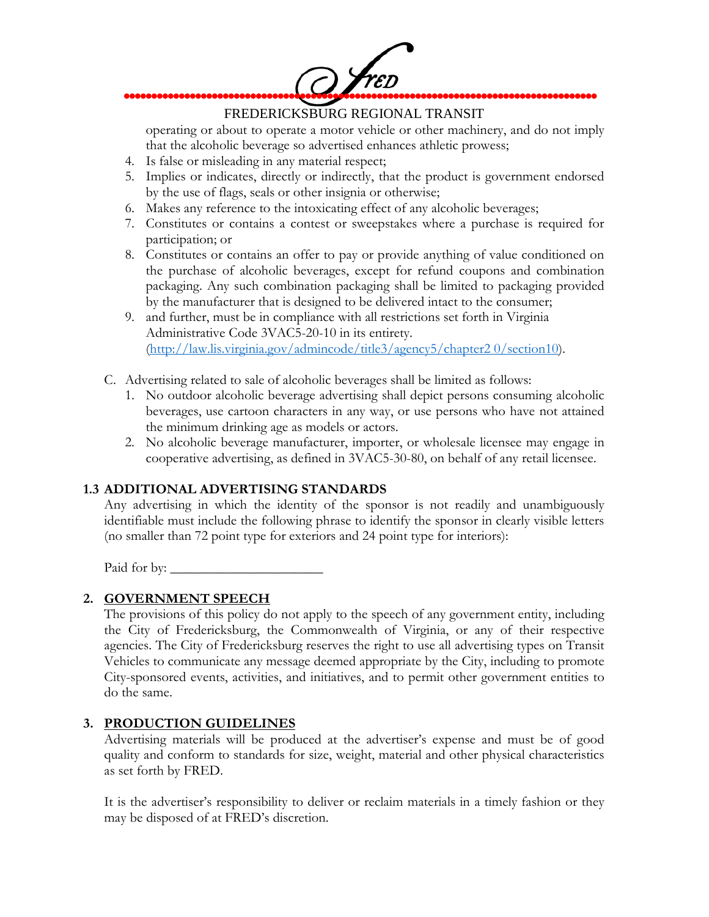

# FREDERICKSBURG REGIONAL TRANSIT

operating or about to operate a motor vehicle or other machinery, and do not imply that the alcoholic beverage so advertised enhances athletic prowess;

- 4. Is false or misleading in any material respect;
- 5. Implies or indicates, directly or indirectly, that the product is government endorsed by the use of flags, seals or other insignia or otherwise;
- 6. Makes any reference to the intoxicating effect of any alcoholic beverages;
- 7. Constitutes or contains a contest or sweepstakes where a purchase is required for participation; or
- 8. Constitutes or contains an offer to pay or provide anything of value conditioned on the purchase of alcoholic beverages, except for refund coupons and combination packaging. Any such combination packaging shall be limited to packaging provided by the manufacturer that is designed to be delivered intact to the consumer;
- 9. and further, must be in compliance with all restrictions set forth in Virginia Administrative Code 3VAC5-20-10 in its entirety. [\(http://law.lis.virginia.gov/admincode/title3/agency5/chapter2 0/section10\)](http://law.lis.virginia.gov/admincode/title3/agency5/chapter2%200/section10).
- C. Advertising related to sale of alcoholic beverages shall be limited as follows:
	- 1. No outdoor alcoholic beverage advertising shall depict persons consuming alcoholic beverages, use cartoon characters in any way, or use persons who have not attained the minimum drinking age as models or actors.
	- 2. No alcoholic beverage manufacturer, importer, or wholesale licensee may engage in cooperative advertising, as defined in 3VAC5-30-80, on behalf of any retail licensee.

## **1.3 ADDITIONAL ADVERTISING STANDARDS**

Any advertising in which the identity of the sponsor is not readily and unambiguously identifiable must include the following phrase to identify the sponsor in clearly visible letters (no smaller than 72 point type for exteriors and 24 point type for interiors):

Paid for by: \_\_\_\_\_\_\_\_\_\_\_\_\_\_\_\_\_\_\_\_\_\_

## **2. GOVERNMENT SPEECH**

The provisions of this policy do not apply to the speech of any government entity, including the City of Fredericksburg, the Commonwealth of Virginia, or any of their respective agencies. The City of Fredericksburg reserves the right to use all advertising types on Transit Vehicles to communicate any message deemed appropriate by the City, including to promote City-sponsored events, activities, and initiatives, and to permit other government entities to do the same.

#### **3. PRODUCTION GUIDELINES**

Advertising materials will be produced at the advertiser's expense and must be of good quality and conform to standards for size, weight, material and other physical characteristics as set forth by FRED.

It is the advertiser's responsibility to deliver or reclaim materials in a timely fashion or they may be disposed of at FRED's discretion.